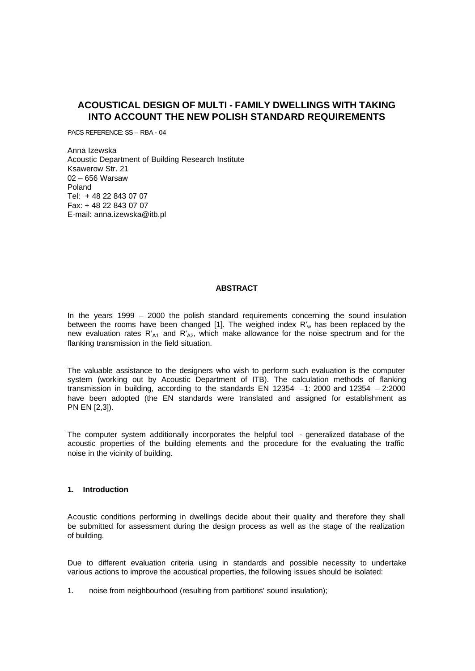# **ACOUSTICAL DESIGN OF MULTI - FAMILY DWELLINGS WITH TAKING INTO ACCOUNT THE NEW POLISH STANDARD REQUIREMENTS**

PACS REFERENCE: SS – RBA - 04

Anna Izewska Acoustic Department of Building Research Institute Ksawerow Str. 21 02 – 656 Warsaw Poland Tel: + 48 22 843 07 07 Fax: + 48 22 843 07 07 E-mail: anna.izewska@itb.pl

# **ABSTRACT**

In the years 1999 – 2000 the polish standard requirements concerning the sound insulation between the rooms have been changed [1]. The weighed index  $R'_w$  has been replaced by the new evaluation rates  $R'_{A1}$  and  $R'_{A2}$ , which make allowance for the noise spectrum and for the flanking transmission in the field situation.

The valuable assistance to the designers who wish to perform such evaluation is the computer system (working out by Acoustic Department of ITB). The calculation methods of flanking transmission in building, according to the standards EN 12354 –1: 2000 and 12354 – 2:2000 have been adopted (the EN standards were translated and assigned for establishment as PN EN [2,3]).

The computer system additionally incorporates the helpful tool - generalized database of the acoustic properties of the building elements and the procedure for the evaluating the traffic noise in the vicinity of building.

#### **1. Introduction**

Acoustic conditions performing in dwellings decide about their quality and therefore they shall be submitted for assessment during the design process as well as the stage of the realization of building.

Due to different evaluation criteria using in standards and possible necessity to undertake various actions to improve the acoustical properties, the following issues should be isolated:

1. noise from neighbourhood (resulting from partitions' sound insulation);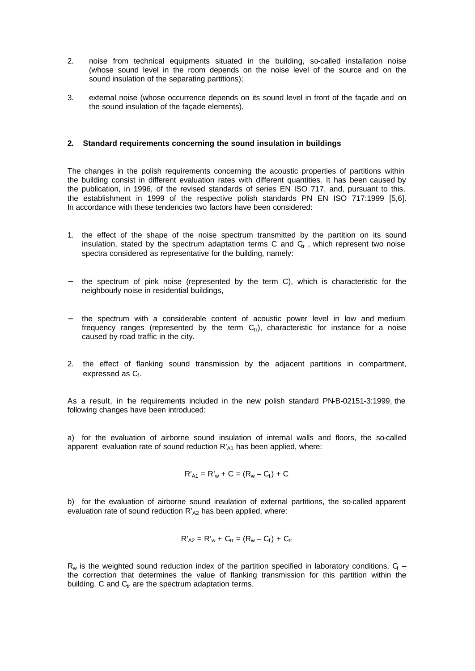- 2. noise from technical equipments situated in the building, so-called installation noise (whose sound level in the room depends on the noise level of the source and on the sound insulation of the separating partitions);
- 3. external noise (whose occurrence depends on its sound level in front of the façade and on the sound insulation of the façade elements).

#### **2. Standard requirements concerning the sound insulation in buildings**

The changes in the polish requirements concerning the acoustic properties of partitions within the building consist in different evaluation rates with different quantities. It has been caused by the publication, in 1996, of the revised standards of series EN ISO 717, and, pursuant to this, the establishment in 1999 of the respective polish standards PN EN ISO 717:1999 [5,6]. In accordance with these tendencies two factors have been considered:

- 1. the effect of the shape of the noise spectrum transmitted by the partition on its sound insulation, stated by the spectrum adaptation terms C and  $G_r$ , which represent two noise spectra considered as representative for the building, namely:
- the spectrum of pink noise (represented by the term C), which is characteristic for the neighbourly noise in residential buildings,
- the spectrum with a considerable content of acoustic power level in low and medium frequency ranges (represented by the term  $C_{\text{tr}}$ ), characteristic for instance for a noise caused by road traffic in the city.
- 2. the effect of flanking sound transmission by the adjacent partitions in compartment, expressed as  $C_{\!f}$  .

As a result, in the requirements included in the new polish standard PN-B-02151-3:1999, the following changes have been introduced:

a) for the evaluation of airborne sound insulation of internal walls and floors, the so-called apparent evaluation rate of sound reduction  $R'_{A1}$  has been applied, where:

$$
R'_{A1} = R'_{w} + C = (R_{w} - C_{f}) + C
$$

b) for the evaluation of airborne sound insulation of external partitions, the so-called apparent evaluation rate of sound reduction  $R'_{A2}$  has been applied, where:

$$
R'_{A2} = R'_{w} + C_{tr} = (R_{w} - C_{f}) + C_{tr}
$$

 $R_w$  is the weighted sound reduction index of the partition specified in laboratory conditions,  $G$ the correction that determines the value of flanking transmission for this partition within the building, C and  $C<sub>tr</sub>$  are the spectrum adaptation terms.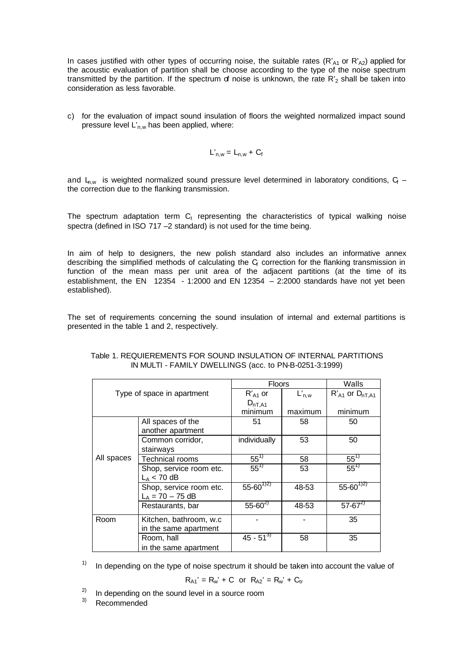In cases justified with other types of occurring noise, the suitable rates (R'<sub>A1</sub> or R'<sub>A2</sub>) applied for the acoustic evaluation of partition shall be choose according to the type of the noise spectrum transmitted by the partition. If the spectrum of noise is unknown, the rate  $R_2$  shall be taken into consideration as less favorable.

c) for the evaluation of impact sound insulation of floors the weighted normalized impact sound pressure level  $L'_{n,w}$  has been applied, where:

$$
L'_{n,w} = L_{n,w} + C_f
$$

and  $L_{\text{n,w}}$  is weighted normalized sound pressure level determined in laboratory conditions,  $C_f$  – the correction due to the flanking transmission.

The spectrum adaptation term  $C_1$  representing the characteristics of typical walking noise spectra (defined in ISO 717 –2 standard) is not used for the time being.

In aim of help to designers, the new polish standard also includes an informative annex describing the simplified methods of calculating the  $G$  correction for the flanking transmission in function of the mean mass per unit area of the adjacent partitions (at the time of its establishment, the EN  $12354 - 1:2000$  and EN  $12354 - 2:2000$  standards have not yet been established).

The set of requirements concerning the sound insulation of internal and external partitions is presented in the table 1 and 2, respectively.

| Type of space in apartment |                         | <b>Floors</b>    | Walls      |                          |
|----------------------------|-------------------------|------------------|------------|--------------------------|
|                            |                         | $R'_{A1}$ or     | $L'_{n,w}$ | $R'_{A1}$ or $D_{nT,A1}$ |
|                            |                         | $D_{nT, A1}$     |            |                          |
|                            |                         | minimum          | maximum    | minimum                  |
|                            | All spaces of the       | 51               | 58         | 50                       |
|                            | another apartment       |                  |            |                          |
| All spaces                 | Common corridor,        | individually     | 53         | 50                       |
|                            | stairways               |                  |            |                          |
|                            | <b>Technical rooms</b>  | $55^{17}$        | 58         | $55^{\frac{1}{1}}$       |
|                            | Shop, service room etc. | $55^{17}$        | 53         | $55^{17}$                |
|                            | $L_A < 70$ dB           |                  |            |                          |
|                            | Shop, service room etc. | $55 - 60^{7/27}$ | 48-53      | $55 - 60^{772}$          |
|                            | $L_A = 70 - 75$ dB      |                  |            |                          |
|                            | Restaurants, bar        | $55 - 60^{2}$    | 48-53      | $57 - 67^{2}$            |
| Room                       | Kitchen, bathroom, w.c. |                  |            | 35                       |
|                            | in the same apartment   |                  |            |                          |
|                            | Room, hall              | $45 - 51^{37}$   | 58         | 35                       |
|                            | in the same apartment   |                  |            |                          |

# Table 1. REQUIEREMENTS FOR SOUND INSULATION OF INTERNAL PARTITIONS IN MULTI - FAMILY DWELLINGS (acc. to PN-B-0251-3:1999)

 $1)$  In depending on the type of noise spectrum it should be taken into account the value of

$$
R_{A1}' = R_w' + C
$$
 or  $R_{A2}' = R_w' + C_{tr}$ 

 $\frac{2}{3}$  In depending on the sound level in a source room

3) Recommended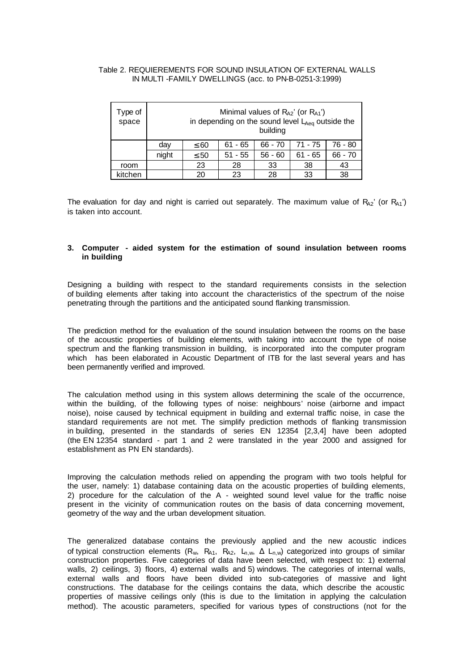# Table 2. REQUIEREMENTS FOR SOUND INSULATION OF EXTERNAL WALLS IN MULTI -FAMILY DWELLINGS (acc. to PN-B-0251-3:1999)

| Type of<br>space | Minimal values of $R_{A2}$ ' (or $R_{A1}$ ')<br>in depending on the sound level $L_{Aeq}$ outside the<br>building |           |           |           |           |           |  |
|------------------|-------------------------------------------------------------------------------------------------------------------|-----------|-----------|-----------|-----------|-----------|--|
|                  | day                                                                                                               | $\leq 60$ | $61 - 65$ | $66 - 70$ | 71 - 75   | 76 - 80   |  |
|                  | night                                                                                                             | $\leq 50$ | $51 - 55$ | $56 - 60$ | $61 - 65$ | $66 - 70$ |  |
| room             |                                                                                                                   | 23        | 28        | 33        | 38        | 43        |  |
| kitchen          |                                                                                                                   | 20        | 23        | 28        | 33        | 38        |  |

The evaluation for day and night is carried out separately. The maximum value of  $R_{A2}$ ' (or  $R_{A1}$ ') is taken into account.

# **3. Computer - aided system for the estimation of sound insulation between rooms in building**

Designing a building with respect to the standard requirements consists in the selection of building elements after taking into account the characteristics of the spectrum of the noise penetrating through the partitions and the anticipated sound flanking transmission.

The prediction method for the evaluation of the sound insulation between the rooms on the base of the acoustic properties of building elements, with taking into account the type of noise spectrum and the flanking transmission in building, is incorporated into the computer program which has been elaborated in Acoustic Department of ITB for the last several years and has been permanently verified and improved.

The calculation method using in this system allows determining the scale of the occurrence, within the building, of the following types of noise: neighbours' noise (airborne and impact noise), noise caused by technical equipment in building and external traffic noise, in case the standard requirements are not met. The simplify prediction methods of flanking transmission in building, presented in the standards of series EN 12354 [2,3,4] have been adopted (the EN 12354 standard - part 1 and 2 were translated in the year 2000 and assigned for establishment as PN EN standards).

Improving the calculation methods relied on appending the program with two tools helpful for the user, namely: 1) database containing data on the acoustic properties of building elements, 2) procedure for the calculation of the A - weighted sound level value for the traffic noise present in the vicinity of communication routes on the basis of data concerning movement, geometry of the way and the urban development situation.

The generalized database contains the previously applied and the new acoustic indices of typical construction elements ( $R_w$ ,  $R_{A1}$ ,  $R_{A2}$ ,  $L_{n,w}$ ,  $\Delta$   $L_{n,w}$ ) categorized into groups of similar construction properties. Five categories of data have been selected, with respect to: 1) external walls, 2) ceilings, 3) floors, 4) external walls and 5) windows. The categories of internal walls, external walls and floors have been divided into sub-categories of massive and light constructions. The database for the ceilings contains the data, which describe the acoustic properties of massive ceilings only (this is due to the limitation in applying the calculation method). The acoustic parameters, specified for various types of constructions (not for the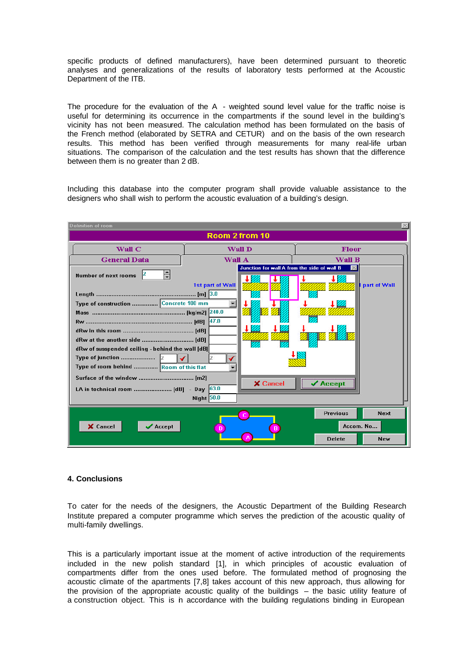specific products of defined manufacturers), have been determined pursuant to theoretic analyses and generalizations of the results of laboratory tests performed at the Acoustic Department of the ITB.

The procedure for the evaluation of the  $A$  - weighted sound level value for the traffic noise is useful for determining its occurrence in the compartments if the sound level in the building's vicinity has not been measured. The calculation method has been formulated on the basis of the French method (elaborated by SETRA and CETUR) and on the basis of the own research results. This method has been verified through measurements for many real-life urban situations. The comparison of the calculation and the test results has shown that the difference between them is no greater than 2 dB.

Including this database into the computer program shall provide valuable assistance to the designers who shall wish to perform the acoustic evaluation of a building's design.



#### **4. Conclusions**

To cater for the needs of the designers, the Acoustic Department of the Building Research Institute prepared a computer programme which serves the prediction of the acoustic quality of multi-family dwellings.

This is a particularly important issue at the moment of active introduction of the requirements included in the new polish standard [1], in which principles of acoustic evaluation of compartments differ from the ones used before. The formulated method of prognosing the acoustic climate of the apartments [7,8] takes account of this new approach, thus allowing for the provision of the appropriate acoustic quality of the buildings – the basic utility feature of a construction object. This is in accordance with the building regulations binding in European